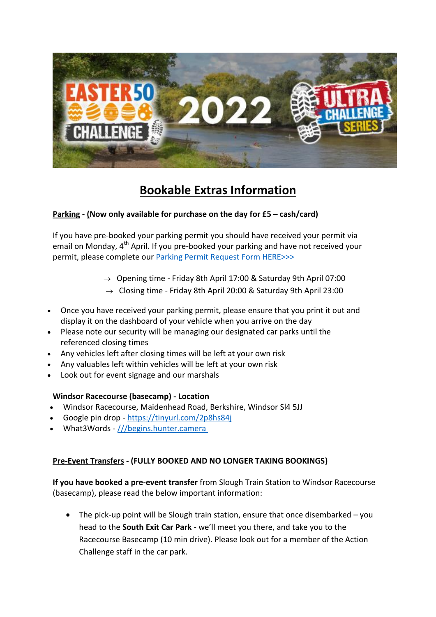

# **Bookable Extras Information**

### **Parking - (Now only available for purchase on the day for £5 – cash/card)**

If you have pre-booked your parking permit you should have received your permit via email on Monday, 4<sup>th</sup> April. If you pre-booked your parking and have not received your permit, please complete our **Parking Permit Request Form HERE>>>** 

- $\rightarrow$  Opening time Friday 8th April 17:00 & Saturday 9th April 07:00
- $\rightarrow$  Closing time Friday 8th April 20:00 & Saturday 9th April 23:00
- Once you have received your parking permit, please ensure that you print it out and display it on the dashboard of your vehicle when you arrive on the day
- Please note our security will be managing our designated car parks until the referenced closing times
- Any vehicles left after closing times will be left at your own risk
- Any valuables left within vehicles will be left at your own risk
- Look out for event signage and our marshals

#### **Windsor Racecourse (basecamp) - Location**

- Windsor Racecourse, Maidenhead Road, Berkshire, Windsor Sl4 5JJ
- Google pin drop <https://tinyurl.com/2p8hs84j>
- What3Words [///begins.hunter.camera](https://w3w.co/pretty.needed.chill)

## **Pre-Event Transfers - (FULLY BOOKED AND NO LONGER TAKING BOOKINGS)**

**If you have booked a pre-event transfer** from Slough Train Station to Windsor Racecourse (basecamp), please read the below important information:

 $\bullet$  The pick-up point will be Slough train station, ensure that once disembarked – you head to the **South Exit Car Park** - we'll meet you there, and take you to the Racecourse Basecamp (10 min drive). Please look out for a member of the Action Challenge staff in the car park.